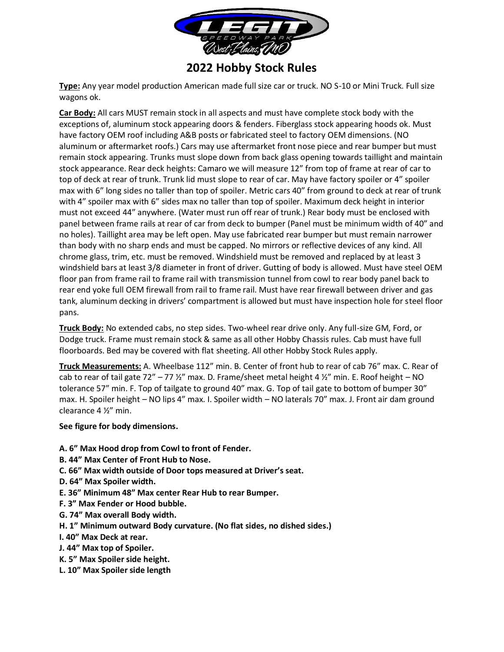

## **2022 Hobby Stock Rules**

**Type:** Any year model production American made full size car or truck. NO S-10 or Mini Truck. Full size wagons ok.

**Car Body:** All cars MUST remain stock in all aspects and must have complete stock body with the exceptions of, aluminum stock appearing doors & fenders. Fiberglass stock appearing hoods ok. Must have factory OEM roof including A&B posts or fabricated steel to factory OEM dimensions. (NO aluminum or aftermarket roofs.) Cars may use aftermarket front nose piece and rear bumper but must remain stock appearing. Trunks must slope down from back glass opening towards taillight and maintain stock appearance. Rear deck heights: Camaro we will measure 12" from top of frame at rear of car to top of deck at rear of trunk. Trunk lid must slope to rear of car. May have factory spoiler or 4" spoiler max with 6" long sides no taller than top of spoiler. Metric cars 40" from ground to deck at rear of trunk with 4" spoiler max with 6" sides max no taller than top of spoiler. Maximum deck height in interior must not exceed 44" anywhere. (Water must run off rear of trunk.) Rear body must be enclosed with panel between frame rails at rear of car from deck to bumper (Panel must be minimum width of 40" and no holes). Taillight area may be left open. May use fabricated rear bumper but must remain narrower than body with no sharp ends and must be capped. No mirrors or reflective devices of any kind. All chrome glass, trim, etc. must be removed. Windshield must be removed and replaced by at least 3 windshield bars at least 3/8 diameter in front of driver. Gutting of body is allowed. Must have steel OEM floor pan from frame rail to frame rail with transmission tunnel from cowl to rear body panel back to rear end yoke full OEM firewall from rail to frame rail. Must have rear firewall between driver and gas tank, aluminum decking in drivers' compartment is allowed but must have inspection hole for steel floor pans.

**Truck Body:** No extended cabs, no step sides. Two-wheel rear drive only. Any full-size GM, Ford, or Dodge truck. Frame must remain stock & same as all other Hobby Chassis rules. Cab must have full floorboards. Bed may be covered with flat sheeting. All other Hobby Stock Rules apply.

**Truck Measurements:** A. Wheelbase 112" min. B. Center of front hub to rear of cab 76" max. C. Rear of cab to rear of tail gate 72" – 77  $\frac{1}{2}$ " max. D. Frame/sheet metal height 4  $\frac{1}{2}$ " min. E. Roof height – NO tolerance 57" min. F. Top of tailgate to ground 40" max. G. Top of tail gate to bottom of bumper 30" max. H. Spoiler height – NO lips 4" max. I. Spoiler width – NO laterals 70" max. J. Front air dam ground clearance 4 ½" min.

## **See figure for body dimensions.**

- **A. 6" Max Hood drop from Cowl to front of Fender.**
- **B. 44" Max Center of Front Hub to Nose.**
- **C. 66" Max width outside of Door tops measured at Driver's seat.**
- **D. 64" Max Spoiler width.**
- **E. 36" Minimum 48" Max center Rear Hub to rear Bumper.**
- **F. 3" Max Fender or Hood bubble.**
- **G. 74" Max overall Body width.**
- **H. 1" Minimum outward Body curvature. (No flat sides, no dished sides.)**
- **I. 40" Max Deck at rear.**
- **J. 44" Max top of Spoiler.**
- **K. 5" Max Spoiler side height.**
- **L. 10" Max Spoiler side length**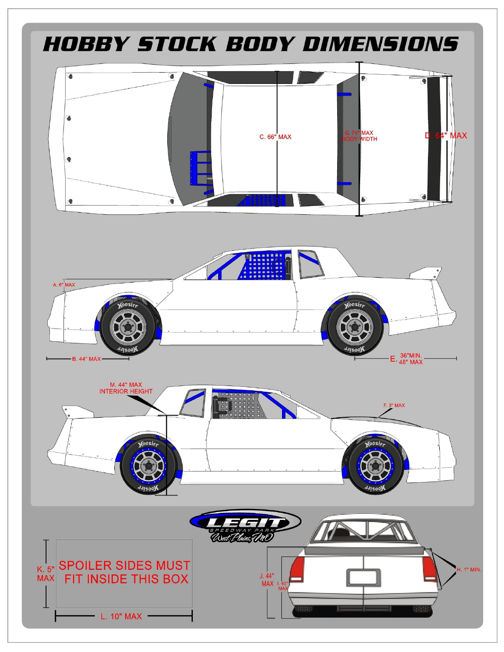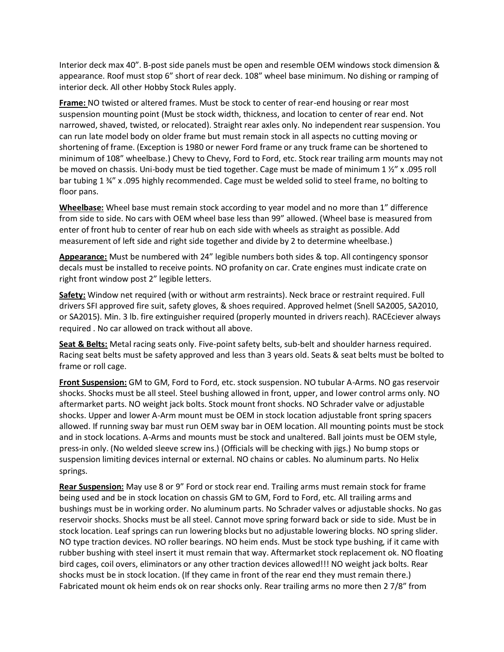Interior deck max 40". B-post side panels must be open and resemble OEM windows stock dimension & appearance. Roof must stop 6" short of rear deck. 108" wheel base minimum. No dishing or ramping of interior deck. All other Hobby Stock Rules apply.

**Frame:** NO twisted or altered frames. Must be stock to center of rear-end housing or rear most suspension mounting point (Must be stock width, thickness, and location to center of rear end. Not narrowed, shaved, twisted, or relocated). Straight rear axles only. No independent rear suspension. You can run late model body on older frame but must remain stock in all aspects no cutting moving or shortening of frame. (Exception is 1980 or newer Ford frame or any truck frame can be shortened to minimum of 108" wheelbase.) Chevy to Chevy, Ford to Ford, etc. Stock rear trailing arm mounts may not be moved on chassis. Uni-body must be tied together. Cage must be made of minimum 1 ½" x .095 roll bar tubing 1 ¾" x .095 highly recommended. Cage must be welded solid to steel frame, no bolting to floor pans.

**Wheelbase:** Wheel base must remain stock according to year model and no more than 1" difference from side to side. No cars with OEM wheel base less than 99" allowed. (Wheel base is measured from enter of front hub to center of rear hub on each side with wheels as straight as possible. Add measurement of left side and right side together and divide by 2 to determine wheelbase.)

**Appearance:** Must be numbered with 24" legible numbers both sides & top. All contingency sponsor decals must be installed to receive points. NO profanity on car. Crate engines must indicate crate on right front window post 2" legible letters.

**Safety:** Window net required (with or without arm restraints). Neck brace or restraint required. Full drivers SFI approved fire suit, safety gloves, & shoes required. Approved helmet (Snell SA2005, SA2010, or SA2015). Min. 3 lb. fire extinguisher required (properly mounted in drivers reach). RACEciever always required . No car allowed on track without all above.

**Seat & Belts:** Metal racing seats only. Five-point safety belts, sub-belt and shoulder harness required. Racing seat belts must be safety approved and less than 3 years old. Seats & seat belts must be bolted to frame or roll cage.

**Front Suspension:** GM to GM, Ford to Ford, etc. stock suspension. NO tubular A-Arms. NO gas reservoir shocks. Shocks must be all steel. Steel bushing allowed in front, upper, and lower control arms only. NO aftermarket parts. NO weight jack bolts. Stock mount front shocks. NO Schrader valve or adjustable shocks. Upper and lower A-Arm mount must be OEM in stock location adjustable front spring spacers allowed. If running sway bar must run OEM sway bar in OEM location. All mounting points must be stock and in stock locations. A-Arms and mounts must be stock and unaltered. Ball joints must be OEM style, press-in only. (No welded sleeve screw ins.) (Officials will be checking with jigs.) No bump stops or suspension limiting devices internal or external. NO chains or cables. No aluminum parts. No Helix springs.

**Rear Suspension:** May use 8 or 9" Ford or stock rear end. Trailing arms must remain stock for frame being used and be in stock location on chassis GM to GM, Ford to Ford, etc. All trailing arms and bushings must be in working order. No aluminum parts. No Schrader valves or adjustable shocks. No gas reservoir shocks. Shocks must be all steel. Cannot move spring forward back or side to side. Must be in stock location. Leaf springs can run lowering blocks but no adjustable lowering blocks. NO spring slider. NO type traction devices. NO roller bearings. NO heim ends. Must be stock type bushing, if it came with rubber bushing with steel insert it must remain that way. Aftermarket stock replacement ok. NO floating bird cages, coil overs, eliminators or any other traction devices allowed!!! NO weight jack bolts. Rear shocks must be in stock location. (If they came in front of the rear end they must remain there.) Fabricated mount ok heim ends ok on rear shocks only. Rear trailing arms no more then 2 7/8" from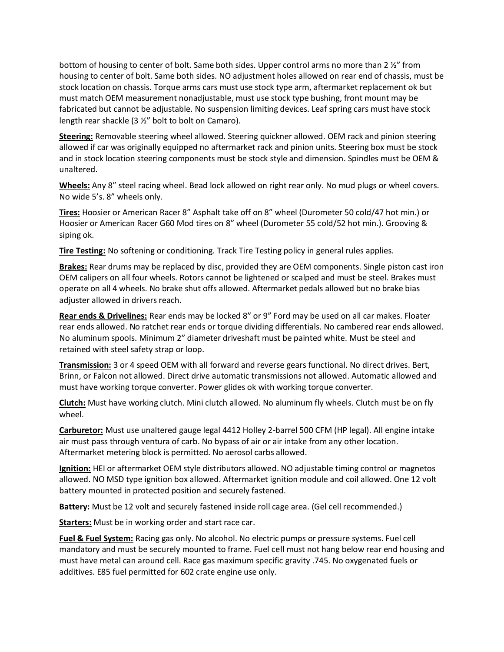bottom of housing to center of bolt. Same both sides. Upper control arms no more than 2 ½" from housing to center of bolt. Same both sides. NO adjustment holes allowed on rear end of chassis, must be stock location on chassis. Torque arms cars must use stock type arm, aftermarket replacement ok but must match OEM measurement nonadjustable, must use stock type bushing, front mount may be fabricated but cannot be adjustable. No suspension limiting devices. Leaf spring cars must have stock length rear shackle (3 ½" bolt to bolt on Camaro).

**Steering:** Removable steering wheel allowed. Steering quickner allowed. OEM rack and pinion steering allowed if car was originally equipped no aftermarket rack and pinion units. Steering box must be stock and in stock location steering components must be stock style and dimension. Spindles must be OEM & unaltered.

**Wheels:** Any 8" steel racing wheel. Bead lock allowed on right rear only. No mud plugs or wheel covers. No wide 5's. 8" wheels only.

**Tires:** Hoosier or American Racer 8" Asphalt take off on 8" wheel (Durometer 50 cold/47 hot min.) or Hoosier or American Racer G60 Mod tires on 8" wheel (Durometer 55 cold/52 hot min.). Grooving & siping ok.

**Tire Testing:** No softening or conditioning. Track Tire Testing policy in general rules applies.

**Brakes:** Rear drums may be replaced by disc, provided they are OEM components. Single piston cast iron OEM calipers on all four wheels. Rotors cannot be lightened or scalped and must be steel. Brakes must operate on all 4 wheels. No brake shut offs allowed. Aftermarket pedals allowed but no brake bias adjuster allowed in drivers reach.

**Rear ends & Drivelines:** Rear ends may be locked 8" or 9" Ford may be used on all car makes. Floater rear ends allowed. No ratchet rear ends or torque dividing differentials. No cambered rear ends allowed. No aluminum spools. Minimum 2" diameter driveshaft must be painted white. Must be steel and retained with steel safety strap or loop.

**Transmission:** 3 or 4 speed OEM with all forward and reverse gears functional. No direct drives. Bert, Brinn, or Falcon not allowed. Direct drive automatic transmissions not allowed. Automatic allowed and must have working torque converter. Power glides ok with working torque converter.

**Clutch:** Must have working clutch. Mini clutch allowed. No aluminum fly wheels. Clutch must be on fly wheel.

**Carburetor:** Must use unaltered gauge legal 4412 Holley 2-barrel 500 CFM (HP legal). All engine intake air must pass through ventura of carb. No bypass of air or air intake from any other location. Aftermarket metering block is permitted. No aerosol carbs allowed.

**Ignition:** HEI or aftermarket OEM style distributors allowed. NO adjustable timing control or magnetos allowed. NO MSD type ignition box allowed. Aftermarket ignition module and coil allowed. One 12 volt battery mounted in protected position and securely fastened.

**Battery:** Must be 12 volt and securely fastened inside roll cage area. (Gel cell recommended.)

**Starters:** Must be in working order and start race car.

**Fuel & Fuel System:** Racing gas only. No alcohol. No electric pumps or pressure systems. Fuel cell mandatory and must be securely mounted to frame. Fuel cell must not hang below rear end housing and must have metal can around cell. Race gas maximum specific gravity .745. No oxygenated fuels or additives. E85 fuel permitted for 602 crate engine use only.